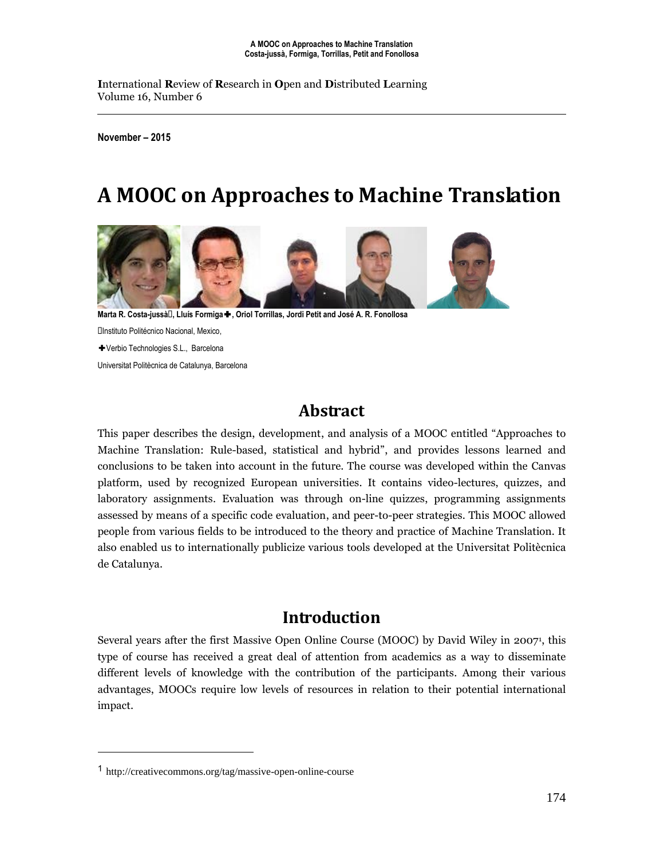**I**nternational **R**eview of **R**esearch in **O**pen and **D**istributed **L**earning Volume 16, Number 6

**November – 2015**

# **A MOOC on Approaches to Machine Translation**



**Marta R. Costa-jussà, Lluís Formiga**✚**, Oriol Torrillas, Jordi Petit and José A. R. Fonollosa** Instituto Politécnico Nacional, Mexico, ✚Verbio Technologies S.L., Barcelona Universitat Politècnica de Catalunya, Barcelona

## **Abstract**

This paper describes the design, development, and analysis of a MOOC entitled "Approaches to Machine Translation: Rule-based, statistical and hybrid", and provides lessons learned and conclusions to be taken into account in the future. The course was developed within the Canvas platform, used by recognized European universities. It contains video-lectures, quizzes, and laboratory assignments. Evaluation was through on-line quizzes, programming assignments assessed by means of a specific code evaluation, and peer-to-peer strategies. This MOOC allowed people from various fields to be introduced to the theory and practice of Machine Translation. It also enabled us to internationally publicize various tools developed at the Universitat Politècnica de Catalunya.

## **Introduction**

Several years after the first Massive Open Online Course (MOOC) by David Wiley in 2007<sup>1</sup>, this type of course has received a great deal of attention from academics as a way to disseminate different levels of knowledge with the contribution of the participants. Among their various advantages, MOOCs require low levels of resources in relation to their potential international impact.

 $\overline{a}$ 

<sup>1</sup> http://creativecommons.org/tag/massive-open-online-course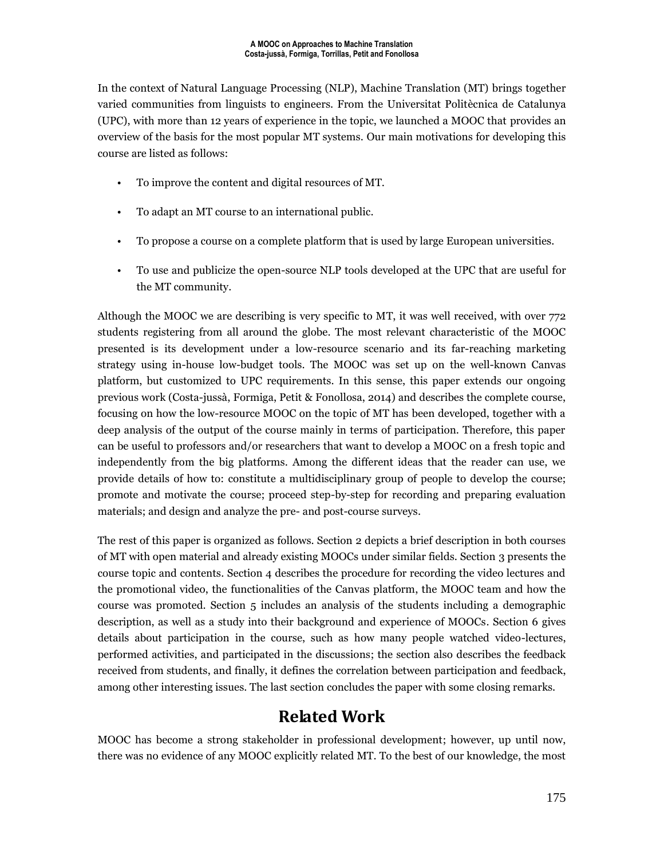In the context of Natural Language Processing (NLP), Machine Translation (MT) brings together varied communities from linguists to engineers. From the Universitat Politècnica de Catalunya (UPC), with more than 12 years of experience in the topic, we launched a MOOC that provides an overview of the basis for the most popular MT systems. Our main motivations for developing this course are listed as follows:

- To improve the content and digital resources of MT.
- To adapt an MT course to an international public.
- To propose a course on a complete platform that is used by large European universities.
- To use and publicize the open-source NLP tools developed at the UPC that are useful for the MT community.

Although the MOOC we are describing is very specific to MT, it was well received, with over 772 students registering from all around the globe. The most relevant characteristic of the MOOC presented is its development under a low-resource scenario and its far-reaching marketing strategy using in-house low-budget tools. The MOOC was set up on the well-known Canvas platform, but customized to UPC requirements. In this sense, this paper extends our ongoing previous work (Costa-jussà, Formiga, Petit & Fonollosa, 2014) and describes the complete course, focusing on how the low-resource MOOC on the topic of MT has been developed, together with a deep analysis of the output of the course mainly in terms of participation. Therefore, this paper can be useful to professors and/or researchers that want to develop a MOOC on a fresh topic and independently from the big platforms. Among the different ideas that the reader can use, we provide details of how to: constitute a multidisciplinary group of people to develop the course; promote and motivate the course; proceed step-by-step for recording and preparing evaluation materials; and design and analyze the pre- and post-course surveys.

The rest of this paper is organized as follows. Section 2 depicts a brief description in both courses of MT with open material and already existing MOOCs under similar fields. Section 3 presents the course topic and contents. Section 4 describes the procedure for recording the video lectures and the promotional video, the functionalities of the Canvas platform, the MOOC team and how the course was promoted. Section 5 includes an analysis of the students including a demographic description, as well as a study into their background and experience of MOOCs. Section 6 gives details about participation in the course, such as how many people watched video-lectures, performed activities, and participated in the discussions; the section also describes the feedback received from students, and finally, it defines the correlation between participation and feedback, among other interesting issues. The last section concludes the paper with some closing remarks.

## **Related Work**

MOOC has become a strong stakeholder in professional development; however, up until now, there was no evidence of any MOOC explicitly related MT. To the best of our knowledge, the most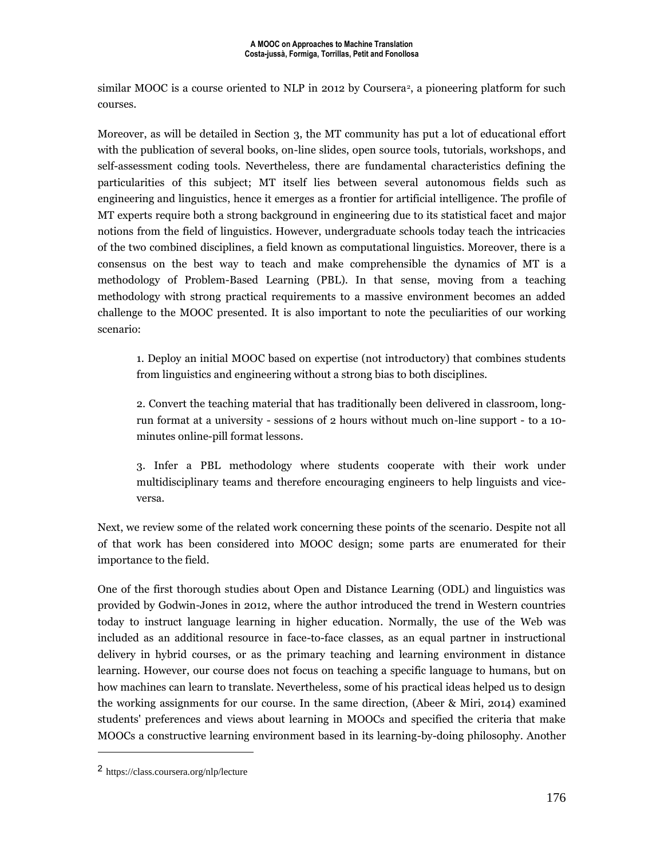similar MOOC is a course oriented to NLP in 2012 by Coursera<sup>2</sup>, a pioneering platform for such courses.

Moreover, as will be detailed in Section 3, the MT community has put a lot of educational effort with the publication of several books, on-line slides, open source tools, tutorials, workshops, and self-assessment coding tools. Nevertheless, there are fundamental characteristics defining the particularities of this subject; MT itself lies between several autonomous fields such as engineering and linguistics, hence it emerges as a frontier for artificial intelligence. The profile of MT experts require both a strong background in engineering due to its statistical facet and major notions from the field of linguistics. However, undergraduate schools today teach the intricacies of the two combined disciplines, a field known as computational linguistics. Moreover, there is a consensus on the best way to teach and make comprehensible the dynamics of MT is a methodology of Problem-Based Learning (PBL). In that sense, moving from a teaching methodology with strong practical requirements to a massive environment becomes an added challenge to the MOOC presented. It is also important to note the peculiarities of our working scenario:

1. Deploy an initial MOOC based on expertise (not introductory) that combines students from linguistics and engineering without a strong bias to both disciplines.

2. Convert the teaching material that has traditionally been delivered in classroom, longrun format at a university - sessions of 2 hours without much on-line support - to a 10 minutes online-pill format lessons.

3. Infer a PBL methodology where students cooperate with their work under multidisciplinary teams and therefore encouraging engineers to help linguists and viceversa.

Next, we review some of the related work concerning these points of the scenario. Despite not all of that work has been considered into MOOC design; some parts are enumerated for their importance to the field.

One of the first thorough studies about Open and Distance Learning (ODL) and linguistics was provided by Godwin-Jones in 2012, where the author introduced the trend in Western countries today to instruct language learning in higher education. Normally, the use of the Web was included as an additional resource in face-to-face classes, as an equal partner in instructional delivery in hybrid courses, or as the primary teaching and learning environment in distance learning. However, our course does not focus on teaching a specific language to humans, but on how machines can learn to translate. Nevertheless, some of his practical ideas helped us to design the working assignments for our course. In the same direction, (Abeer & Miri, 2014) examined students' preferences and views about learning in MOOCs and specified the criteria that make MOOCs a constructive learning environment based in its learning-by-doing philosophy. Another

 $\overline{a}$ 

<sup>2</sup> https://class.coursera.org/nlp/lecture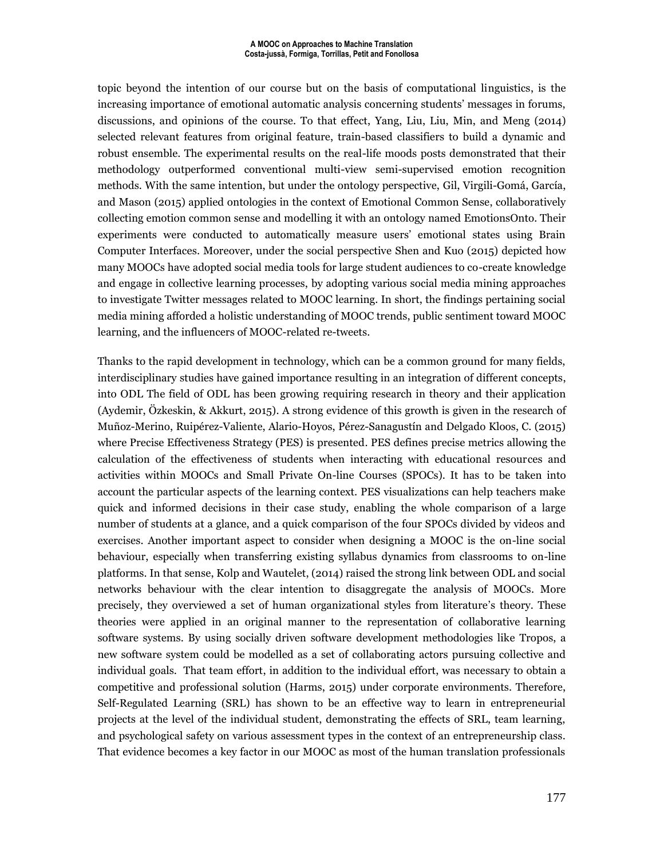topic beyond the intention of our course but on the basis of computational linguistics, is the increasing importance of emotional automatic analysis concerning students' messages in forums, discussions, and opinions of the course. To that effect, Yang, Liu, Liu, Min, and Meng (2014) selected relevant features from original feature, train-based classifiers to build a dynamic and robust ensemble. The experimental results on the real-life moods posts demonstrated that their methodology outperformed conventional multi-view semi-supervised emotion recognition methods. With the same intention, but under the ontology perspective, Gil, Virgili-Gomá, García, and Mason (2015) applied ontologies in the context of Emotional Common Sense, collaboratively collecting emotion common sense and modelling it with an ontology named EmotionsOnto. Their experiments were conducted to automatically measure users' emotional states using Brain Computer Interfaces. Moreover, under the social perspective Shen and Kuo (2015) depicted how many MOOCs have adopted social media tools for large student audiences to co-create knowledge and engage in collective learning processes, by adopting various social media mining approaches to investigate Twitter messages related to MOOC learning. In short, the findings pertaining social media mining afforded a holistic understanding of MOOC trends, public sentiment toward MOOC learning, and the influencers of MOOC-related re-tweets.

Thanks to the rapid development in technology, which can be a common ground for many fields, interdisciplinary studies have gained importance resulting in an integration of different concepts, into ODL The field of ODL has been growing requiring research in theory and their application (Aydemir, Özkeskin, & Akkurt, 2015). A strong evidence of this growth is given in the research of Muñoz-Merino, Ruipérez-Valiente, Alario-Hoyos, Pérez-Sanagustín and Delgado Kloos, C. (2015) where Precise Effectiveness Strategy (PES) is presented. PES defines precise metrics allowing the calculation of the effectiveness of students when interacting with educational resources and activities within MOOCs and Small Private On-line Courses (SPOCs). It has to be taken into account the particular aspects of the learning context. PES visualizations can help teachers make quick and informed decisions in their case study, enabling the whole comparison of a large number of students at a glance, and a quick comparison of the four SPOCs divided by videos and exercises. Another important aspect to consider when designing a MOOC is the on-line social behaviour, especially when transferring existing syllabus dynamics from classrooms to on-line platforms. In that sense, Kolp and Wautelet, (2014) raised the strong link between ODL and social networks behaviour with the clear intention to disaggregate the analysis of MOOCs. More precisely, they overviewed a set of human organizational styles from literature's theory. These theories were applied in an original manner to the representation of collaborative learning software systems. By using socially driven software development methodologies like Tropos, a new software system could be modelled as a set of collaborating actors pursuing collective and individual goals. That team effort, in addition to the individual effort, was necessary to obtain a competitive and professional solution (Harms, 2015) under corporate environments. Therefore, Self-Regulated Learning (SRL) has shown to be an effective way to learn in entrepreneurial projects at the level of the individual student, demonstrating the effects of SRL, team learning, and psychological safety on various assessment types in the context of an entrepreneurship class. That evidence becomes a key factor in our MOOC as most of the human translation professionals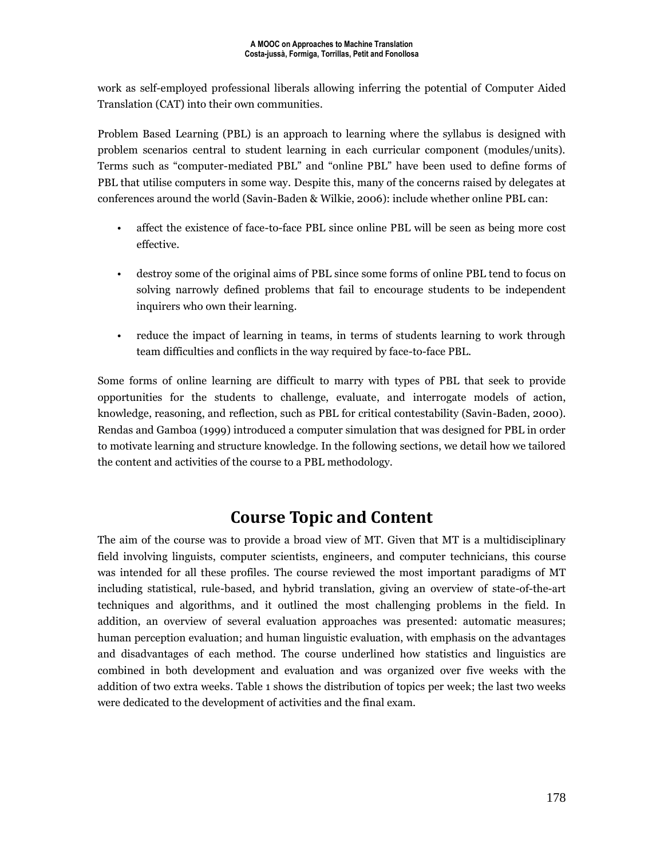work as self-employed professional liberals allowing inferring the potential of Computer Aided Translation (CAT) into their own communities.

Problem Based Learning (PBL) is an approach to learning where the syllabus is designed with problem scenarios central to student learning in each curricular component (modules/units). Terms such as "computer-mediated PBL" and "online PBL" have been used to define forms of PBL that utilise computers in some way. Despite this, many of the concerns raised by delegates at conferences around the world (Savin-Baden & Wilkie, 2006): include whether online PBL can:

- affect the existence of face-to-face PBL since online PBL will be seen as being more cost effective.
- destroy some of the original aims of PBL since some forms of online PBL tend to focus on solving narrowly defined problems that fail to encourage students to be independent inquirers who own their learning.
- reduce the impact of learning in teams, in terms of students learning to work through team difficulties and conflicts in the way required by face-to-face PBL.

Some forms of online learning are difficult to marry with types of PBL that seek to provide opportunities for the students to challenge, evaluate, and interrogate models of action, knowledge, reasoning, and reflection, such as PBL for critical contestability (Savin-Baden, 2000). Rendas and Gamboa (1999) introduced a computer simulation that was designed for PBL in order to motivate learning and structure knowledge. In the following sections, we detail how we tailored the content and activities of the course to a PBL methodology.

# **Course Topic and Content**

The aim of the course was to provide a broad view of MT. Given that MT is a multidisciplinary field involving linguists, computer scientists, engineers, and computer technicians, this course was intended for all these profiles. The course reviewed the most important paradigms of MT including statistical, rule-based, and hybrid translation, giving an overview of state-of-the-art techniques and algorithms, and it outlined the most challenging problems in the field. In addition, an overview of several evaluation approaches was presented: automatic measures; human perception evaluation; and human linguistic evaluation, with emphasis on the advantages and disadvantages of each method. The course underlined how statistics and linguistics are combined in both development and evaluation and was organized over five weeks with the addition of two extra weeks. Table 1 shows the distribution of topics per week; the last two weeks were dedicated to the development of activities and the final exam.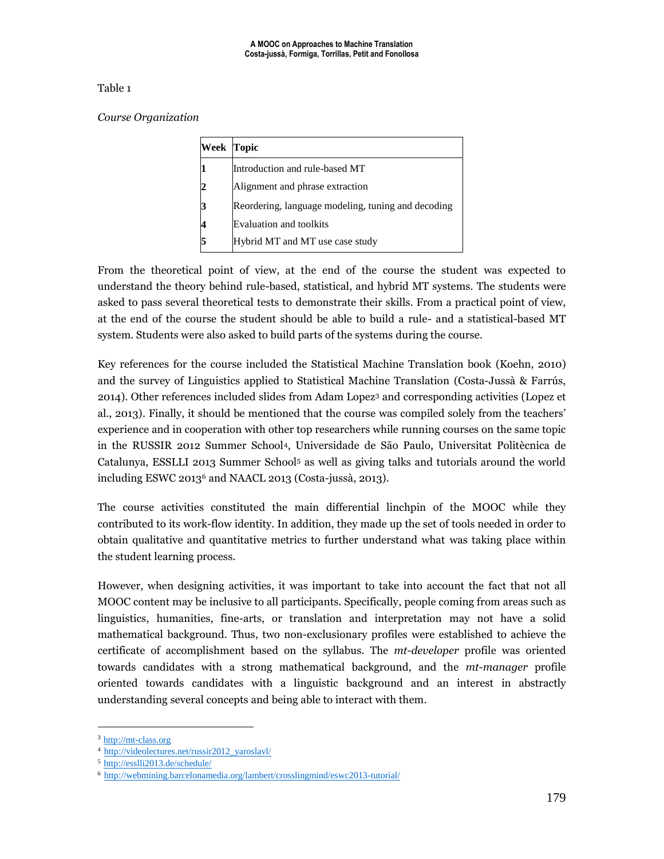### Table 1

*Course Organization*

| <b>Week Topic</b> |                                                    |  |  |  |
|-------------------|----------------------------------------------------|--|--|--|
|                   | Introduction and rule-based MT                     |  |  |  |
|                   | Alignment and phrase extraction                    |  |  |  |
|                   | Reordering, language modeling, tuning and decoding |  |  |  |
|                   | Evaluation and toolkits                            |  |  |  |
|                   | Hybrid MT and MT use case study                    |  |  |  |

From the theoretical point of view, at the end of the course the student was expected to understand the theory behind rule-based, statistical, and hybrid MT systems. The students were asked to pass several theoretical tests to demonstrate their skills. From a practical point of view, at the end of the course the student should be able to build a rule- and a statistical-based MT system. Students were also asked to build parts of the systems during the course.

Key references for the course included the Statistical Machine Translation book (Koehn, 2010) and the survey of Linguistics applied to Statistical Machine Translation (Costa-Jussà & Farrús, 2014). Other references included slides from Adam Lopez<sup>3</sup> and corresponding activities (Lopez et al., 2013). Finally, it should be mentioned that the course was compiled solely from the teachers' experience and in cooperation with other top researchers while running courses on the same topic in the RUSSIR 2012 Summer School4, Universidade de São Paulo, Universitat Politècnica de Catalunya, ESSLLI 2013 Summer School<sup>5</sup> as well as giving talks and tutorials around the world including ESWC 2013<sup>6</sup> and NAACL 2013 (Costa-jussà, 2013).

The course activities constituted the main differential linchpin of the MOOC while they contributed to its work-flow identity. In addition, they made up the set of tools needed in order to obtain qualitative and quantitative metrics to further understand what was taking place within the student learning process.

However, when designing activities, it was important to take into account the fact that not all MOOC content may be inclusive to all participants. Specifically, people coming from areas such as linguistics, humanities, fine-arts, or translation and interpretation may not have a solid mathematical background. Thus, two non-exclusionary profiles were established to achieve the certificate of accomplishment based on the syllabus. The *mt-developer* profile was oriented towards candidates with a strong mathematical background, and the *mt-manager* profile oriented towards candidates with a linguistic background and an interest in abstractly understanding several concepts and being able to interact with them.

 $\overline{a}$ 

<sup>3</sup> [http://mt-class.org](http://mt-class.org/)

<sup>4</sup> [http://videolectures.net/russir2012\\_yaroslavl/](http://videolectures.net/russir2012_yaroslavl/)

<sup>5</sup> <http://esslli2013.de/schedule/>

<sup>6</sup> <http://webmining.barcelonamedia.org/lambert/crosslingmind/eswc2013-tutorial/>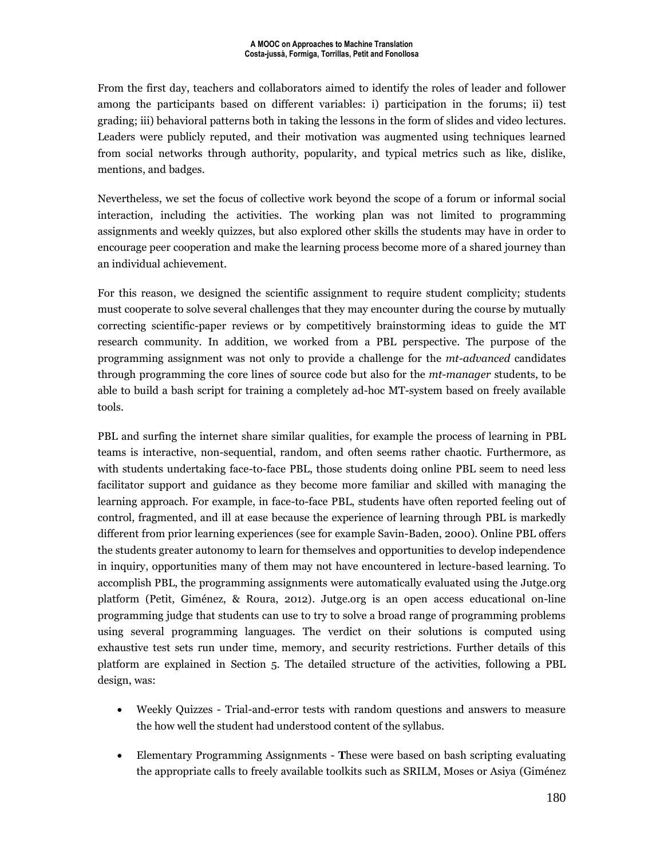From the first day, teachers and collaborators aimed to identify the roles of leader and follower among the participants based on different variables: i) participation in the forums; ii) test grading; iii) behavioral patterns both in taking the lessons in the form of slides and video lectures. Leaders were publicly reputed, and their motivation was augmented using techniques learned from social networks through authority, popularity, and typical metrics such as like, dislike, mentions, and badges.

Nevertheless, we set the focus of collective work beyond the scope of a forum or informal social interaction, including the activities. The working plan was not limited to programming assignments and weekly quizzes, but also explored other skills the students may have in order to encourage peer cooperation and make the learning process become more of a shared journey than an individual achievement.

For this reason, we designed the scientific assignment to require student complicity; students must cooperate to solve several challenges that they may encounter during the course by mutually correcting scientific-paper reviews or by competitively brainstorming ideas to guide the MT research community. In addition, we worked from a PBL perspective. The purpose of the programming assignment was not only to provide a challenge for the *mt-advanced* candidates through programming the core lines of source code but also for the *mt-manager* students, to be able to build a bash script for training a completely ad-hoc MT-system based on freely available tools.

PBL and surfing the internet share similar qualities, for example the process of learning in PBL teams is interactive, non-sequential, random, and often seems rather chaotic. Furthermore, as with students undertaking face-to-face PBL, those students doing online PBL seem to need less facilitator support and guidance as they become more familiar and skilled with managing the learning approach. For example, in face-to-face PBL, students have often reported feeling out of control, fragmented, and ill at ease because the experience of learning through PBL is markedly different from prior learning experiences (see for example Savin-Baden, 2000). Online PBL offers the students greater autonomy to learn for themselves and opportunities to develop independence in inquiry, opportunities many of them may not have encountered in lecture-based learning. To accomplish PBL, the programming assignments were automatically evaluated using the Jutge.org platform (Petit, Giménez, & Roura, 2012). Jutge.org is an open access educational on-line programming judge that students can use to try to solve a broad range of programming problems using several programming languages. The verdict on their solutions is computed using exhaustive test sets run under time, memory, and security restrictions. Further details of this platform are explained in Section 5. The detailed structure of the activities, following a PBL design, was:

- Weekly Quizzes Trial-and-error tests with random questions and answers to measure the how well the student had understood content of the syllabus.
- Elementary Programming Assignments **T**hese were based on bash scripting evaluating the appropriate calls to freely available toolkits such as SRILM, Moses or Asiya (Giménez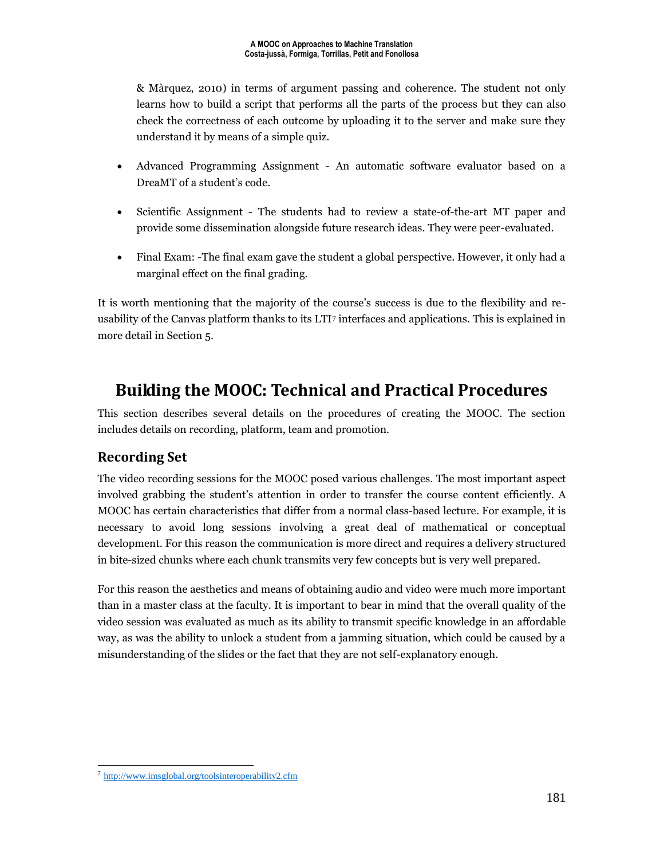& Màrquez, 2010) in terms of argument passing and coherence. The student not only learns how to build a script that performs all the parts of the process but they can also check the correctness of each outcome by uploading it to the server and make sure they understand it by means of a simple quiz.

- Advanced Programming Assignment An automatic software evaluator based on a DreaMT of a student's code.
- Scientific Assignment The students had to review a state-of-the-art MT paper and provide some dissemination alongside future research ideas. They were peer-evaluated.
- Final Exam: -The final exam gave the student a global perspective. However, it only had a marginal effect on the final grading.

It is worth mentioning that the majority of the course's success is due to the flexibility and reusability of the Canvas platform thanks to its LTI<sup>7</sup> interfaces and applications. This is explained in more detail in Section 5.

# **Building the MOOC: Technical and Practical Procedures**

This section describes several details on the procedures of creating the MOOC. The section includes details on recording, platform, team and promotion.

## **Recording Set**

The video recording sessions for the MOOC posed various challenges. The most important aspect involved grabbing the student's attention in order to transfer the course content efficiently. A MOOC has certain characteristics that differ from a normal class-based lecture. For example, it is necessary to avoid long sessions involving a great deal of mathematical or conceptual development. For this reason the communication is more direct and requires a delivery structured in bite-sized chunks where each chunk transmits very few concepts but is very well prepared.

For this reason the aesthetics and means of obtaining audio and video were much more important than in a master class at the faculty. It is important to bear in mind that the overall quality of the video session was evaluated as much as its ability to transmit specific knowledge in an affordable way, as was the ability to unlock a student from a jamming situation, which could be caused by a misunderstanding of the slides or the fact that they are not self-explanatory enough.

 $\overline{a}$ <sup>7</sup> <http://www.imsglobal.org/toolsinteroperability2.cfm>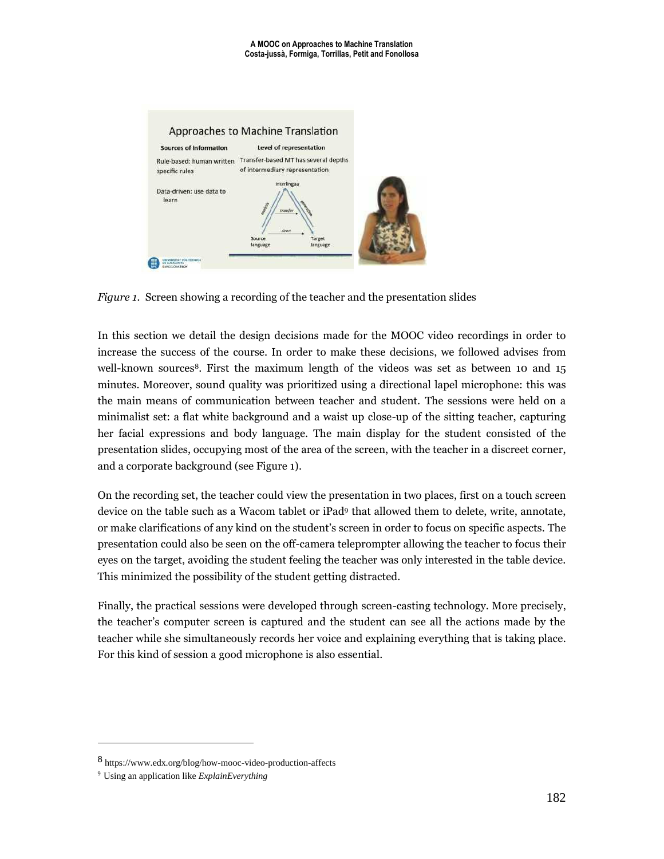

*Figure 1.* Screen showing a recording of the teacher and the presentation slides

In this section we detail the design decisions made for the MOOC video recordings in order to increase the success of the course. In order to make these decisions, we followed advises from well-known sources<sup>8</sup>. First the maximum length of the videos was set as between 10 and 15 minutes. Moreover, sound quality was prioritized using a directional lapel microphone: this was the main means of communication between teacher and student. The sessions were held on a minimalist set: a flat white background and a waist up close-up of the sitting teacher, capturing her facial expressions and body language. The main display for the student consisted of the presentation slides, occupying most of the area of the screen, with the teacher in a discreet corner, and a corporate background (see Figure 1).

On the recording set, the teacher could view the presentation in two places, first on a touch screen device on the table such as a Wacom tablet or iPad<sup>9</sup> that allowed them to delete, write, annotate, or make clarifications of any kind on the student's screen in order to focus on specific aspects. The presentation could also be seen on the off-camera teleprompter allowing the teacher to focus their eyes on the target, avoiding the student feeling the teacher was only interested in the table device. This minimized the possibility of the student getting distracted.

Finally, the practical sessions were developed through screen-casting technology. More precisely, the teacher's computer screen is captured and the student can see all the actions made by the teacher while she simultaneously records her voice and explaining everything that is taking place. For this kind of session a good microphone is also essential.

 $\overline{a}$ 

<sup>8</sup> https://www.edx.org/blog/how-mooc-video-production-affects

<sup>9</sup> Using an application like *ExplainEverything*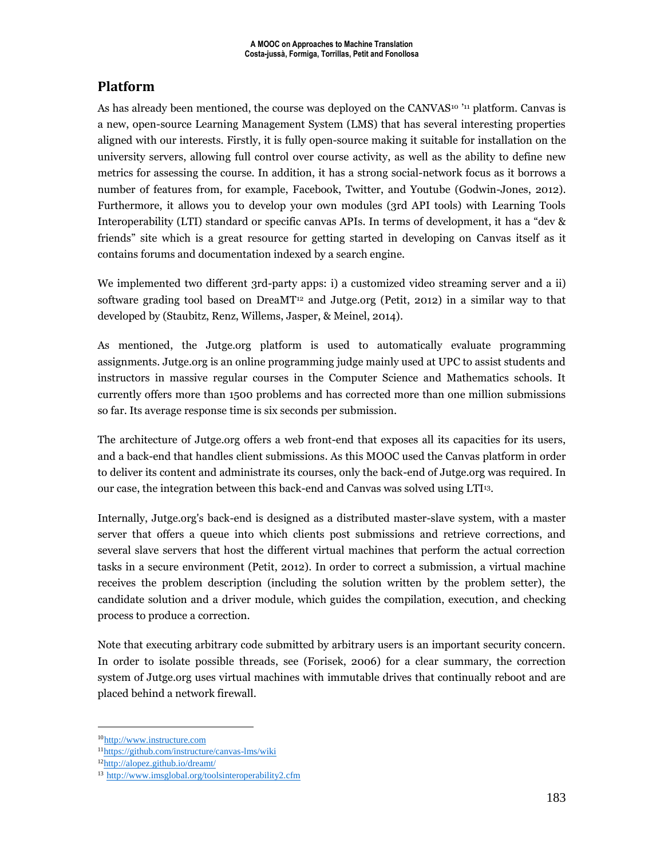### **Platform**

As has already been mentioned, the course was deployed on the CANVAS<sup>10</sup><sup>'11</sup> platform. Canvas is a new, open-source Learning Management System (LMS) that has several interesting properties aligned with our interests. Firstly, it is fully open-source making it suitable for installation on the university servers, allowing full control over course activity, as well as the ability to define new metrics for assessing the course. In addition, it has a strong social-network focus as it borrows a number of features from, for example, Facebook, Twitter, and Youtube (Godwin-Jones, 2012). Furthermore, it allows you to develop your own modules (3rd API tools) with Learning Tools Interoperability (LTI) standard or specific canvas APIs. In terms of development, it has a "dev & friends" site which is a great resource for getting started in developing on Canvas itself as it contains forums and documentation indexed by a search engine.

We implemented two different 3rd-party apps: i) a customized video streaming server and a ii) software grading tool based on DreaMT<sup>12</sup> and Jutge.org (Petit, 2012) in a similar way to that developed by (Staubitz, Renz, Willems, Jasper, & Meinel, 2014).

As mentioned, the Jutge.org platform is used to automatically evaluate programming assignments. Jutge.org is an online programming judge mainly used at UPC to assist students and instructors in massive regular courses in the Computer Science and Mathematics schools. It currently offers more than 1500 problems and has corrected more than one million submissions so far. Its average response time is six seconds per submission.

The architecture of Jutge.org offers a web front-end that exposes all its capacities for its users, and a back-end that handles client submissions. As this MOOC used the Canvas platform in order to deliver its content and administrate its courses, only the back-end of Jutge.org was required. In our case, the integration between this back-end and Canvas was solved using LTI<sup>13</sup>.

Internally, Jutge.org's back-end is designed as a distributed master-slave system, with a master server that offers a queue into which clients post submissions and retrieve corrections, and several slave servers that host the different virtual machines that perform the actual correction tasks in a secure environment (Petit, 2012). In order to correct a submission, a virtual machine receives the problem description (including the solution written by the problem setter), the candidate solution and a driver module, which guides the compilation, execution, and checking process to produce a correction.

Note that executing arbitrary code submitted by arbitrary users is an important security concern. In order to isolate possible threads, see (Forisek, 2006) for a clear summary, the correction system of Jutge.org uses virtual machines with immutable drives that continually reboot and are placed behind a network firewall.

 $\overline{a}$ 

<sup>10</sup>[http://www.instructure.com](http://www.instructure.com/)

<sup>11</sup><https://github.com/instructure/canvas-lms/wiki>

<sup>12</sup><http://alopez.github.io/dreamt/>

<sup>13</sup> <http://www.imsglobal.org/toolsinteroperability2.cfm>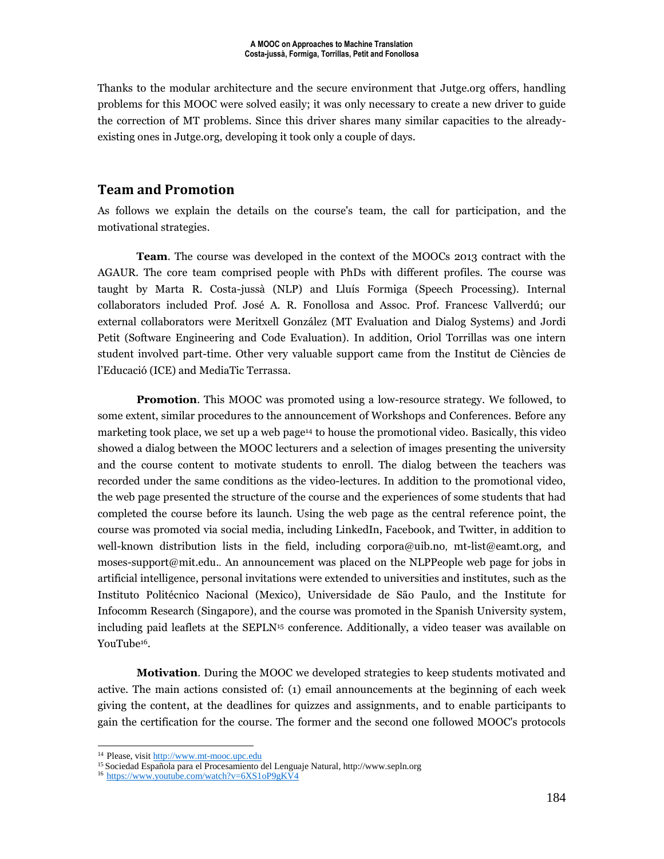Thanks to the modular architecture and the secure environment that Jutge.org offers, handling problems for this MOOC were solved easily; it was only necessary to create a new driver to guide the correction of MT problems. Since this driver shares many similar capacities to the alreadyexisting ones in Jutge.org, developing it took only a couple of days.

### **Team and Promotion**

As follows we explain the details on the course's team, the call for participation, and the motivational strategies.

**Team**. The course was developed in the context of the MOOCs 2013 contract with the AGAUR. The core team comprised people with PhDs with different profiles. The course was taught by Marta R. Costa-jussà (NLP) and Lluís Formiga (Speech Processing). Internal collaborators included Prof. José A. R. Fonollosa and Assoc. Prof. Francesc Vallverdú; our external collaborators were Meritxell González (MT Evaluation and Dialog Systems) and Jordi Petit (Software Engineering and Code Evaluation). In addition, Oriol Torrillas was one intern student involved part-time. Other very valuable support came from the Institut de Ciències de l'Educació (ICE) and MediaTic Terrassa.

**Promotion**. This MOOC was promoted using a low-resource strategy. We followed, to some extent, similar procedures to the announcement of Workshops and Conferences. Before any marketing took place, we set up a web page<sup>14</sup> to house the promotional video. Basically, this video showed a dialog between the MOOC lecturers and a selection of images presenting the university and the course content to motivate students to enroll. The dialog between the teachers was recorded under the same conditions as the video-lectures. In addition to the promotional video, the web page presented the structure of the course and the experiences of some students that had completed the course before its launch. Using the web page as the central reference point, the course was promoted via social media, including LinkedIn, Facebook, and Twitter, in addition to well-known distribution lists in the field, including corpora@uib.no*,* mt-list@eamt.org, and moses-support@mit.edu.*.* An announcement was placed on the NLPPeople web page for jobs in artificial intelligence, personal invitations were extended to universities and institutes, such as the Instituto Politécnico Nacional (Mexico), Universidade de São Paulo, and the Institute for Infocomm Research (Singapore), and the course was promoted in the Spanish University system, including paid leaflets at the SEPLN<sup>15</sup> conference. Additionally, a video teaser was available on YouTube<sup>16</sup>.

**Motivation**. During the MOOC we developed strategies to keep students motivated and active. The main actions consisted of: (1) email announcements at the beginning of each week giving the content, at the deadlines for quizzes and assignments, and to enable participants to gain the certification for the course. The former and the second one followed MOOC's protocols

 $\overline{a}$ <sup>14</sup> Please, visi[t http://www.mt-mooc.upc.edu](http://www.mt-mooc.upc.edu/)

<sup>15</sup> Sociedad Española para el Procesamiento del Lenguaje Natural, http://www.sepln.org

<sup>16</sup> <https://www.youtube.com/watch?v=6XS1oP9gKV4>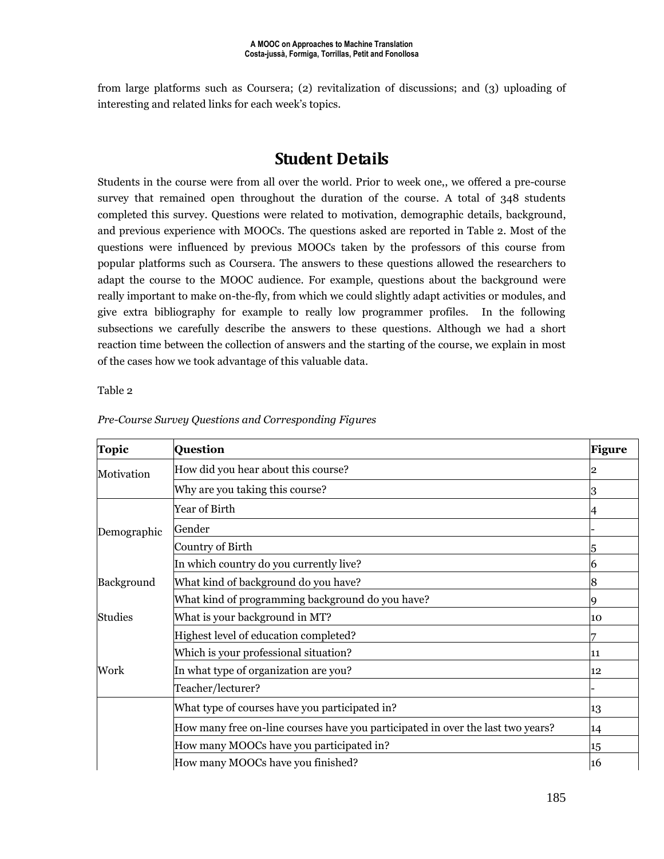from large platforms such as Coursera; (2) revitalization of discussions; and (3) uploading of interesting and related links for each week's topics.

## **Student Details**

Students in the course were from all over the world. Prior to week one,, we offered a pre-course survey that remained open throughout the duration of the course. A total of 348 students completed this survey. Questions were related to motivation, demographic details, background, and previous experience with MOOCs. The questions asked are reported in Table 2. Most of the questions were influenced by previous MOOCs taken by the professors of this course from popular platforms such as Coursera. The answers to these questions allowed the researchers to adapt the course to the MOOC audience. For example, questions about the background were really important to make on-the-fly, from which we could slightly adapt activities or modules, and give extra bibliography for example to really low programmer profiles. In the following subsections we carefully describe the answers to these questions. Although we had a short reaction time between the collection of answers and the starting of the course, we explain in most of the cases how we took advantage of this valuable data.

Table 2

| <b>Topic</b>   | <b>Question</b>                                                                 |    |  |
|----------------|---------------------------------------------------------------------------------|----|--|
| Motivation     | How did you hear about this course?                                             |    |  |
|                | Why are you taking this course?                                                 |    |  |
|                | Year of Birth                                                                   | 14 |  |
| Demographic    | Gender                                                                          |    |  |
|                | Country of Birth                                                                | 15 |  |
|                | In which country do you currently live?                                         | 6  |  |
| Background     | What kind of background do you have?                                            | 18 |  |
|                | What kind of programming background do you have?                                | 9  |  |
| <b>Studies</b> | What is your background in MT?                                                  | 10 |  |
|                | Highest level of education completed?                                           |    |  |
|                | Which is your professional situation?                                           | 11 |  |
| Work           | In what type of organization are you?                                           | 12 |  |
|                | Teacher/lecturer?                                                               |    |  |
|                | What type of courses have you participated in?                                  | 13 |  |
|                | How many free on-line courses have you participated in over the last two years? | 14 |  |
|                | How many MOOCs have you participated in?                                        | 15 |  |
|                | How many MOOCs have you finished?                                               | 16 |  |

*Pre-Course Survey Questions and Corresponding Figures*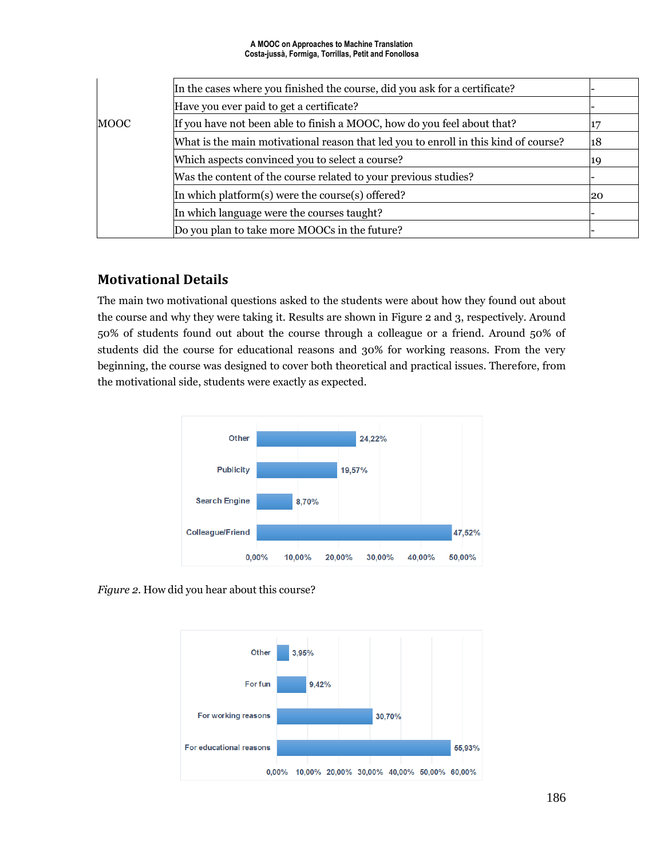|             | In the cases where you finished the course, did you ask for a certificate?          |    |  |
|-------------|-------------------------------------------------------------------------------------|----|--|
|             | Have you ever paid to get a certificate?                                            |    |  |
| <b>MOOC</b> | If you have not been able to finish a MOOC, how do you feel about that?             |    |  |
|             | What is the main motivational reason that led you to enroll in this kind of course? | 18 |  |
|             | Which aspects convinced you to select a course?                                     | 19 |  |
|             | Was the content of the course related to your previous studies?                     |    |  |
|             | In which platform(s) were the course(s) offered?                                    | 20 |  |
|             | In which language were the courses taught?                                          |    |  |
|             | Do you plan to take more MOOCs in the future?                                       |    |  |

## **Motivational Details**

The main two motivational questions asked to the students were about how they found out about the course and why they were taking it. Results are shown in Figure 2 and 3, respectively. Around 50% of students found out about the course through a colleague or a friend. Around 50% of students did the course for educational reasons and 30% for working reasons. From the very beginning, the course was designed to cover both theoretical and practical issues. Therefore, from the motivational side, students were exactly as expected.



*Figure 2.* How did you hear about this course?

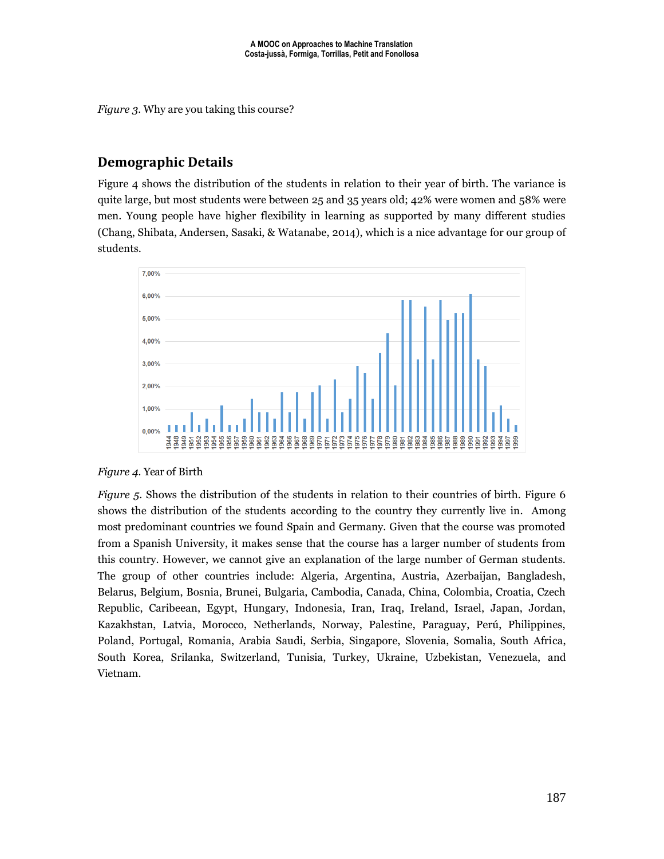*Figure 3.* Why are you taking this course?

### **Demographic Details**

Figure 4 shows the distribution of the students in relation to their year of birth. The variance is quite large, but most students were between 25 and 35 years old; 42% were women and 58% were men. Young people have higher flexibility in learning as supported by many different studies (Chang, Shibata, Andersen, Sasaki, & Watanabe, 2014), which is a nice advantage for our group of students.



### *Figure 4.* Year of Birth

*Figure 5*. Shows the distribution of the students in relation to their countries of birth. Figure 6 shows the distribution of the students according to the country they currently live in. Among most predominant countries we found Spain and Germany. Given that the course was promoted from a Spanish University, it makes sense that the course has a larger number of students from this country. However, we cannot give an explanation of the large number of German students. The group of other countries include: Algeria, Argentina, Austria, Azerbaijan, Bangladesh, Belarus, Belgium, Bosnia, Brunei, Bulgaria, Cambodia, Canada, China, Colombia, Croatia, Czech Republic, Caribeean, Egypt, Hungary, Indonesia, Iran, Iraq, Ireland, Israel, Japan, Jordan, Kazakhstan, Latvia, Morocco, Netherlands, Norway, Palestine, Paraguay, Perú, Philippines, Poland, Portugal, Romania, Arabia Saudi, Serbia, Singapore, Slovenia, Somalia, South Africa, South Korea, Srilanka, Switzerland, Tunisia, Turkey, Ukraine, Uzbekistan, Venezuela, and Vietnam.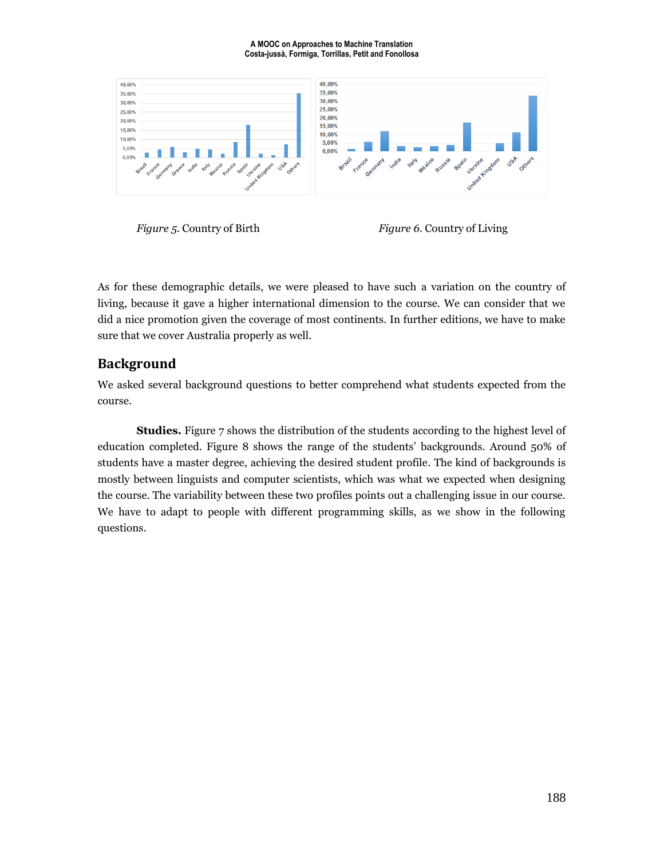

 *Figure 5.* Country of Birth *Figure 6.* Country of Living

As for these demographic details, we were pleased to have such a variation on the country of living, because it gave a higher international dimension to the course. We can consider that we did a nice promotion given the coverage of most continents. In further editions, we have to make sure that we cover Australia properly as well.

### **Background**

We asked several background questions to better comprehend what students expected from the course.

**Studies.** Figure 7 shows the distribution of the students according to the highest level of education completed. Figure 8 shows the range of the students' backgrounds. Around 50% of students have a master degree, achieving the desired student profile. The kind of backgrounds is mostly between linguists and computer scientists, which was what we expected when designing the course. The variability between these two profiles points out a challenging issue in our course. We have to adapt to people with different programming skills, as we show in the following questions.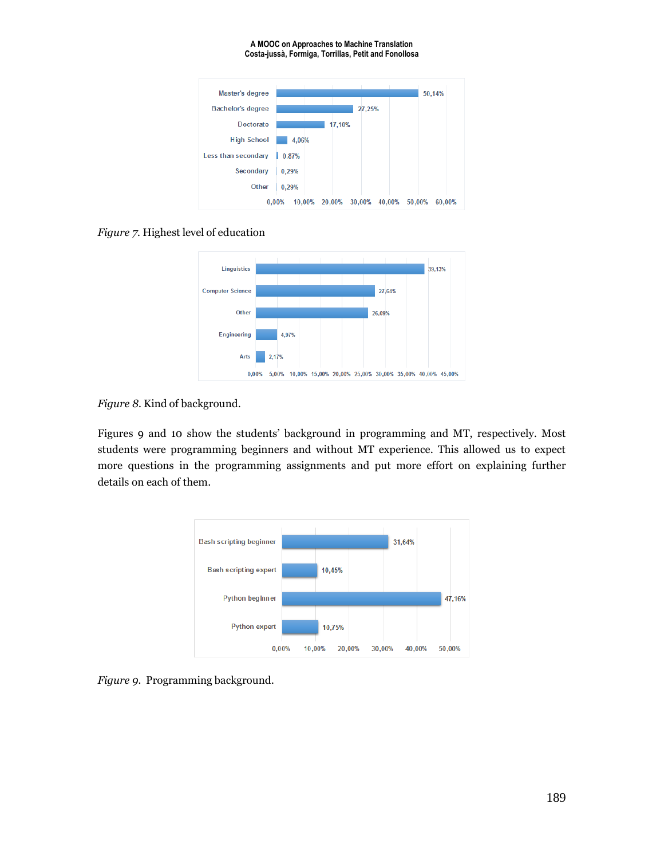

*Figure 7.* Highest level of education



*Figure 8.* Kind of background.

Figures 9 and 10 show the students' background in programming and MT, respectively. Most students were programming beginners and without MT experience. This allowed us to expect more questions in the programming assignments and put more effort on explaining further details on each of them.



*Figure 9.* Programming background.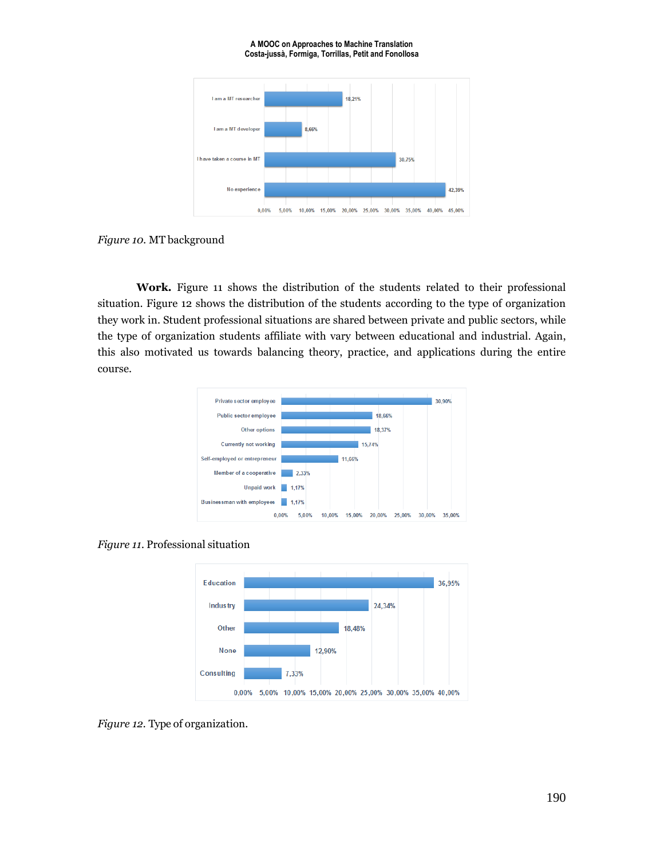

*Figure 10.* MT background

**Work.** Figure 11 shows the distribution of the students related to their professional situation. Figure 12 shows the distribution of the students according to the type of organization they work in. Student professional situations are shared between private and public sectors, while the type of organization students affiliate with vary between educational and industrial. Again, this also motivated us towards balancing theory, practice, and applications during the entire course.



*Figure 11.* Professional situation



*Figure 12.* Type of organization.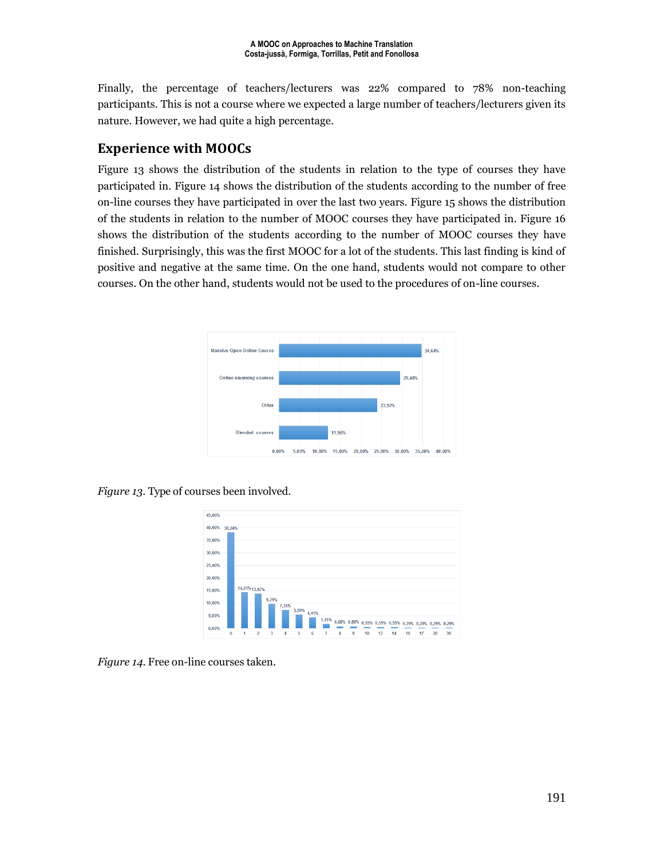Finally, the percentage of teachers/lecturers was 22% compared to 78% non-teaching participants. This is not a course where we expected a large number of teachers/lecturers given its nature. However, we had quite a high percentage.

### **Experience with MOOCs**

Figure 13 shows the distribution of the students in relation to the type of courses they have participated in. Figure 14 shows the distribution of the students according to the number of free on-line courses they have participated in over the last two years. Figure 15 shows the distribution of the students in relation to the number of MOOC courses they have participated in. Figure 16 shows the distribution of the students according to the number of MOOC courses they have finished. Surprisingly, this was the first MOOC for a lot of the students. This last finding is kind of positive and negative at the same time. On the one hand, students would not compare to other courses. On the other hand, students would not be used to the procedures of on-line courses.



### *Figure 13.* Type of courses been involved.



*Figure 14.* Free on-line courses taken.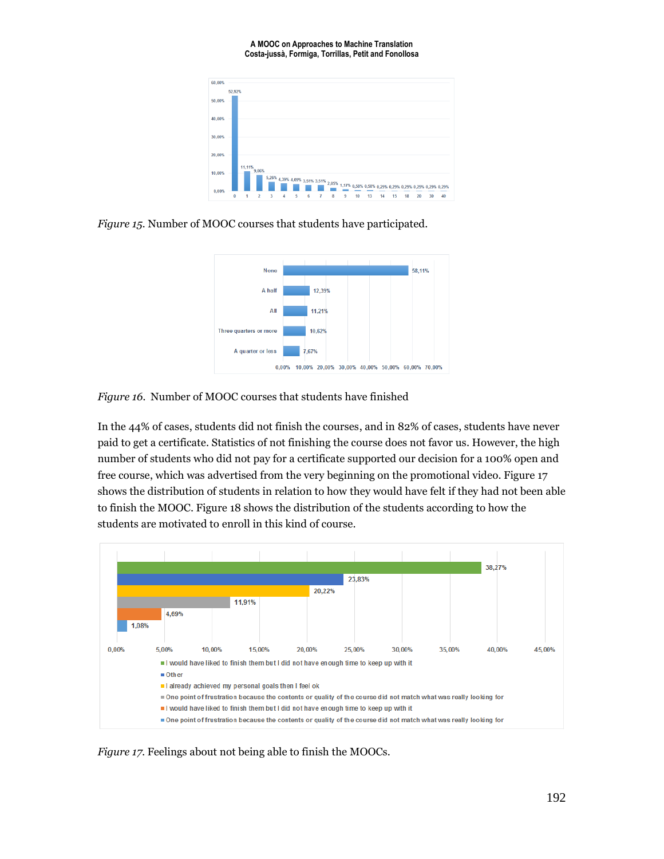![](_page_18_Figure_1.jpeg)

*Figure 15.* Number of MOOC courses that students have participated.

![](_page_18_Figure_3.jpeg)

*Figure 16.* Number of MOOC courses that students have finished

In the 44% of cases, students did not finish the courses, and in 82% of cases, students have never paid to get a certificate. Statistics of not finishing the course does not favor us. However, the high number of students who did not pay for a certificate supported our decision for a 100% open and free course, which was advertised from the very beginning on the promotional video. Figure 17 shows the distribution of students in relation to how they would have felt if they had not been able to finish the MOOC. Figure 18 shows the distribution of the students according to how the students are motivated to enroll in this kind of course.

![](_page_18_Figure_6.jpeg)

*Figure 17.* Feelings about not being able to finish the MOOCs.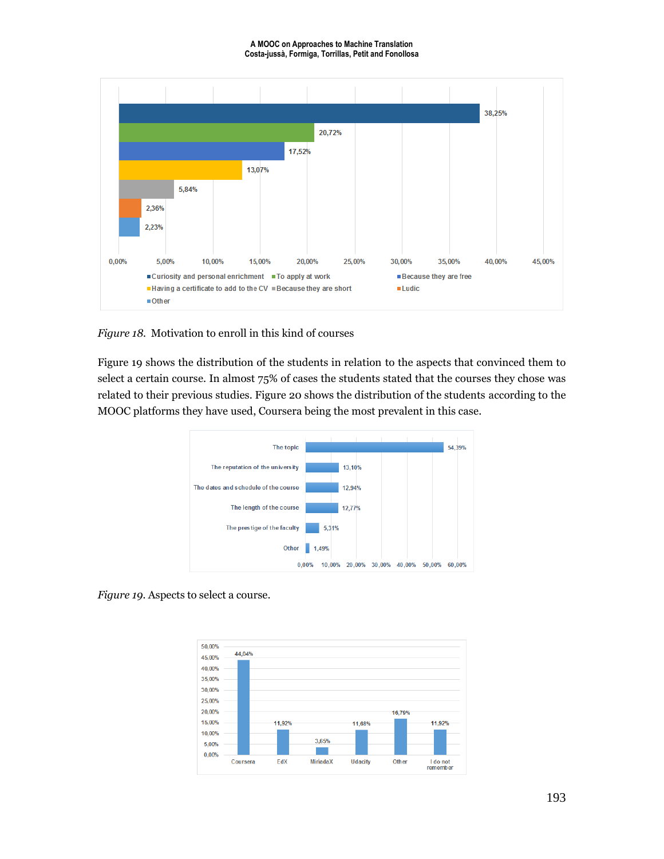![](_page_19_Figure_1.jpeg)

*Figure 18.* Motivation to enroll in this kind of courses

Figure 19 shows the distribution of the students in relation to the aspects that convinced them to select a certain course. In almost 75% of cases the students stated that the courses they chose was related to their previous studies. Figure 20 shows the distribution of the students according to the MOOC platforms they have used, Coursera being the most prevalent in this case.

![](_page_19_Figure_4.jpeg)

*Figure 19.* Aspects to select a course.

![](_page_19_Figure_6.jpeg)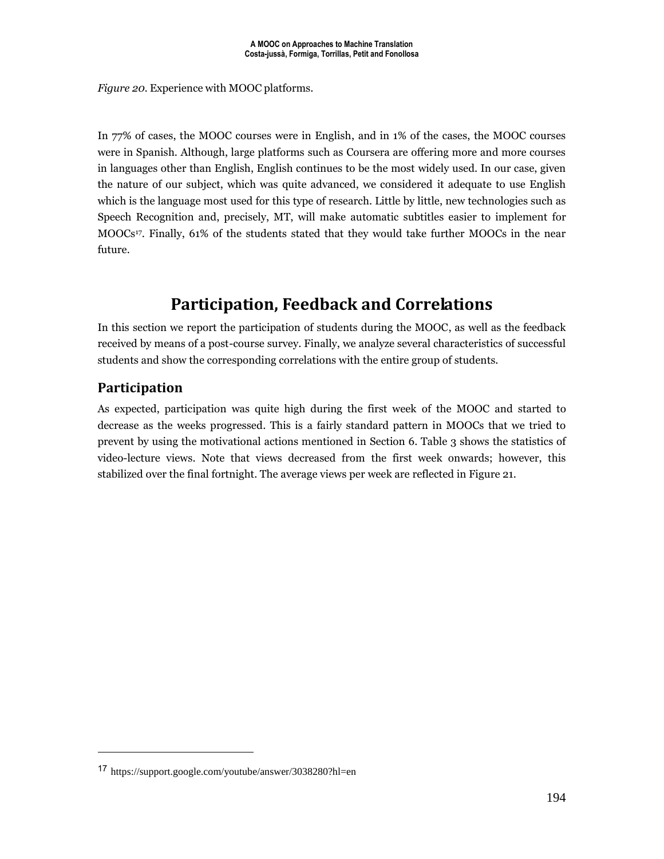*Figure 20.* Experience with MOOC platforms.

In 77% of cases, the MOOC courses were in English, and in 1% of the cases, the MOOC courses were in Spanish. Although, large platforms such as Coursera are offering more and more courses in languages other than English, English continues to be the most widely used. In our case, given the nature of our subject, which was quite advanced, we considered it adequate to use English which is the language most used for this type of research. Little by little, new technologies such as Speech Recognition and, precisely, MT, will make automatic subtitles easier to implement for MOOCs<sup>17</sup>. Finally, 61% of the students stated that they would take further MOOCs in the near future.

# **Participation, Feedback and Correlations**

In this section we report the participation of students during the MOOC, as well as the feedback received by means of a post-course survey. Finally, we analyze several characteristics of successful students and show the corresponding correlations with the entire group of students.

### **Participation**

 $\overline{a}$ 

As expected, participation was quite high during the first week of the MOOC and started to decrease as the weeks progressed. This is a fairly standard pattern in MOOCs that we tried to prevent by using the motivational actions mentioned in Section 6. Table 3 shows the statistics of video-lecture views. Note that views decreased from the first week onwards; however, this stabilized over the final fortnight. The average views per week are reflected in Figure 21.

<sup>17</sup> https://support.google.com/youtube/answer/3038280?hl=en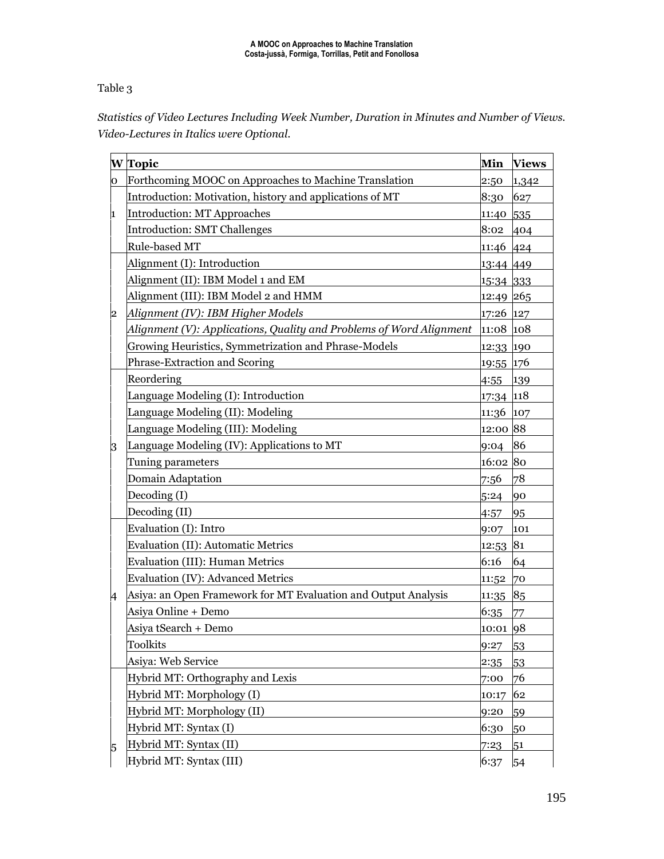Table 3

*Statistics of Video Lectures Including Week Number, Duration in Minutes and Number of Views. Video-Lectures in Italics were Optional.*

|    | W Topic                                                             | Min        | <b>Views</b> |
|----|---------------------------------------------------------------------|------------|--------------|
| O  | Forthcoming MOOC on Approaches to Machine Translation               | 2:50       | 1,342        |
|    | Introduction: Motivation, history and applications of MT            | 8:30       | 627          |
| 11 | Introduction: MT Approaches                                         | 11:40      | 535          |
|    | Introduction: SMT Challenges                                        | 8:02       | 404          |
|    | Rule-based MT                                                       | 11:46 424  |              |
|    | Alignment (I): Introduction                                         | 13:44 449  |              |
|    | Alignment (II): IBM Model 1 and EM                                  | 15:34 333  |              |
|    | Alignment (III): IBM Model 2 and HMM                                | 12:49 265  |              |
| 2  | Alignment (IV): IBM Higher Models                                   | 17:26 127  |              |
|    | Alignment (V): Applications, Quality and Problems of Word Alignment | 11:08 108  |              |
|    | Growing Heuristics, Symmetrization and Phrase-Models                | 12:33 190  |              |
|    | Phrase-Extraction and Scoring                                       | 19:55 176  |              |
|    | Reordering                                                          | 4:55       | 139          |
|    | Language Modeling (I): Introduction                                 | 17:34 118  |              |
|    | Language Modeling (II): Modeling                                    | 11:36      | 107          |
|    | Language Modeling (III): Modeling                                   | 12:00 88   |              |
| 3  | Language Modeling (IV): Applications to MT                          | 9:04       | 86           |
|    | Tuning parameters                                                   | 16:02 80   |              |
|    | Domain Adaptation                                                   | 7:56       | 78           |
|    | Decoding (I)                                                        | 5:24       | 90           |
|    | Decoding (II)                                                       | 4:57       | 95           |
|    | Evaluation (I): Intro                                               | 9:07       | 101          |
|    | Evaluation (II): Automatic Metrics                                  | 12:53 81   |              |
|    | Evaluation (III): Human Metrics                                     | 6:16       | 64           |
|    | Evaluation (IV): Advanced Metrics                                   | 11:52      | 70           |
| 4  | Asiya: an Open Framework for MT Evaluation and Output Analysis      | 11:35      | 85           |
|    | Asiya Online + Demo                                                 | 6:35       | 77           |
|    | Asiya tSearch + Demo                                                | $10:01$ 98 |              |
|    | Toolkits                                                            | 9:27       | 53           |
|    | Asiya: Web Service                                                  | 2:35       | 53           |
|    | Hybrid MT: Orthography and Lexis                                    | 7:00       | 76           |
|    | Hybrid MT: Morphology (I)                                           | 10:17      | 62           |
|    | Hybrid MT: Morphology (II)                                          | 9:20       | 59           |
|    | Hybrid MT: Syntax (I)                                               | 6:30       | 50           |
| 5  | Hybrid MT: Syntax (II)                                              | 7:23       | 51           |
|    | Hybrid MT: Syntax (III)                                             | 6:37       | 54           |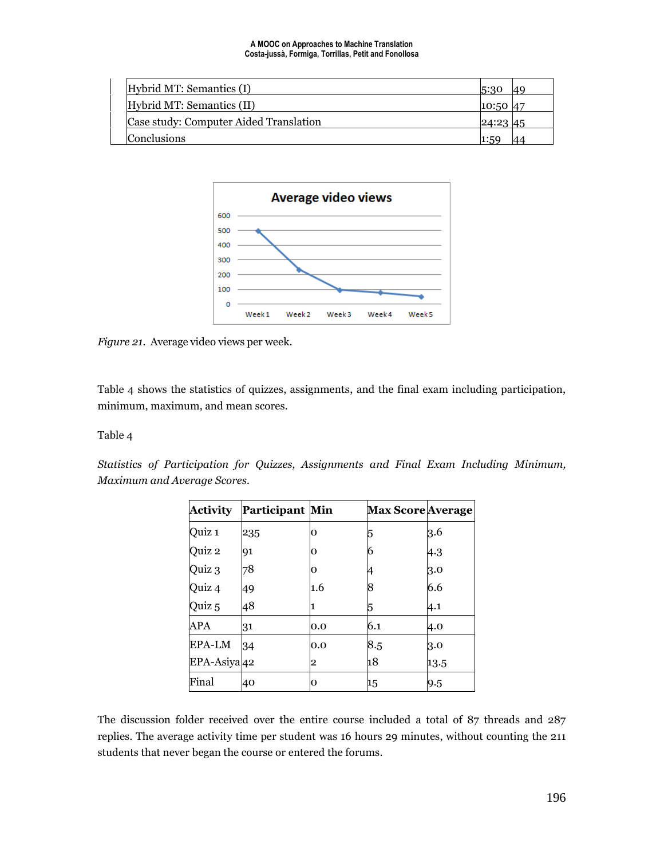| Hybrid MT: Semantics (I)               | 5:30     |  |
|----------------------------------------|----------|--|
| Hybrid MT: Semantics (II)              | 10:50    |  |
| Case study: Computer Aided Translation | 24:23 45 |  |
| <b>Conclusions</b>                     | 1:50     |  |

![](_page_22_Figure_2.jpeg)

*Figure 21.* Average video views per week.

Table 4 shows the statistics of quizzes, assignments, and the final exam including participation, minimum, maximum, and mean scores.

### Table 4

| Activity    | Participant Min |     | <b>Max Score</b> Average |      |
|-------------|-----------------|-----|--------------------------|------|
| Quiz 1      | 235             | Ω   | 5                        | 3.6  |
| Quiz 2      | 91              | 0   | 6                        | 4.3  |
| Quiz 3      | 78              | 0   |                          | 3.0  |
| Quiz 4      | 49              | 1.6 | 8                        | 6.6  |
| Quiz 5      | 48              |     | 5                        | 4.1  |
| APA         | 31              | 0.0 | 6.1                      | 4.0  |
| EPA-LM      | 34              | 0.0 | 8.5                      | 3.0  |
| EPA-Asiya42 |                 | 2   | 18                       | 13.5 |
| Final       | 40              | 0   | 15                       | 9.5  |

*Statistics of Participation for Quizzes, Assignments and Final Exam Including Minimum, Maximum and Average Scores.*

The discussion folder received over the entire course included a total of 87 threads and 287 replies. The average activity time per student was 16 hours 29 minutes, without counting the 211 students that never began the course or entered the forums.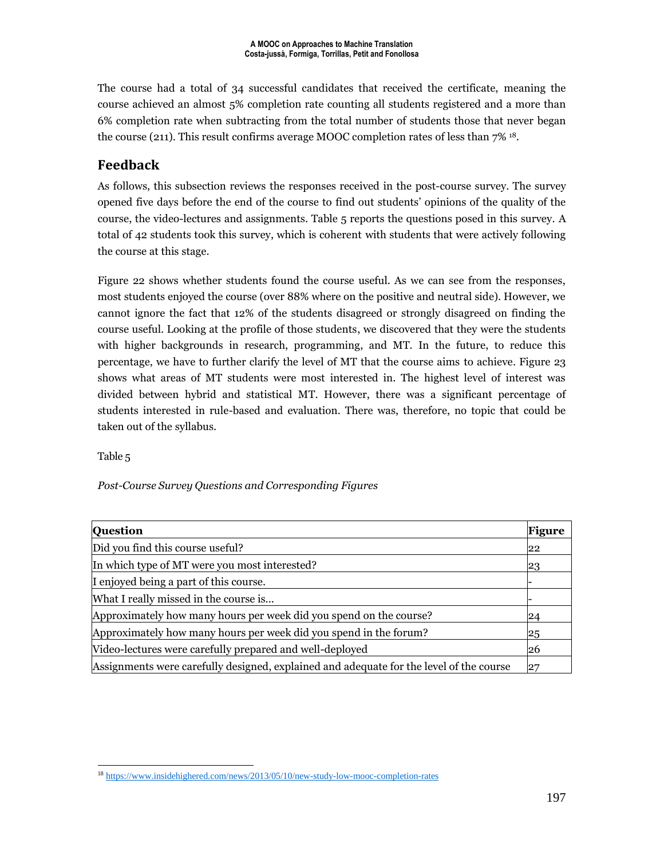The course had a total of 34 successful candidates that received the certificate, meaning the course achieved an almost 5% completion rate counting all students registered and a more than 6% completion rate when subtracting from the total number of students those that never began the course (211). This result confirms average MOOC completion rates of less than 7% 18.

## **Feedback**

As follows, this subsection reviews the responses received in the post-course survey. The survey opened five days before the end of the course to find out students' opinions of the quality of the course, the video-lectures and assignments. Table 5 reports the questions posed in this survey. A total of 42 students took this survey, which is coherent with students that were actively following the course at this stage.

Figure 22 shows whether students found the course useful. As we can see from the responses, most students enjoyed the course (over 88% where on the positive and neutral side). However, we cannot ignore the fact that 12% of the students disagreed or strongly disagreed on finding the course useful. Looking at the profile of those students, we discovered that they were the students with higher backgrounds in research, programming, and MT. In the future, to reduce this percentage, we have to further clarify the level of MT that the course aims to achieve. Figure 23 shows what areas of MT students were most interested in. The highest level of interest was divided between hybrid and statistical MT. However, there was a significant percentage of students interested in rule-based and evaluation. There was, therefore, no topic that could be taken out of the syllabus.

Table 5

*Post-Course Survey Questions and Corresponding Figures*

| <b>Question</b>                                                                         | <b>Figure</b> |
|-----------------------------------------------------------------------------------------|---------------|
| Did you find this course useful?                                                        | 22            |
| In which type of MT were you most interested?                                           | 23            |
| I enjoyed being a part of this course.                                                  |               |
| What I really missed in the course is                                                   |               |
| Approximately how many hours per week did you spend on the course?                      | 24            |
| Approximately how many hours per week did you spend in the forum?                       | 25            |
| Video-lectures were carefully prepared and well-deployed                                | 26            |
| Assignments were carefully designed, explained and adequate for the level of the course | 27            |

 $\overline{a}$ <sup>18</sup> <https://www.insidehighered.com/news/2013/05/10/new-study-low-mooc-completion-rates>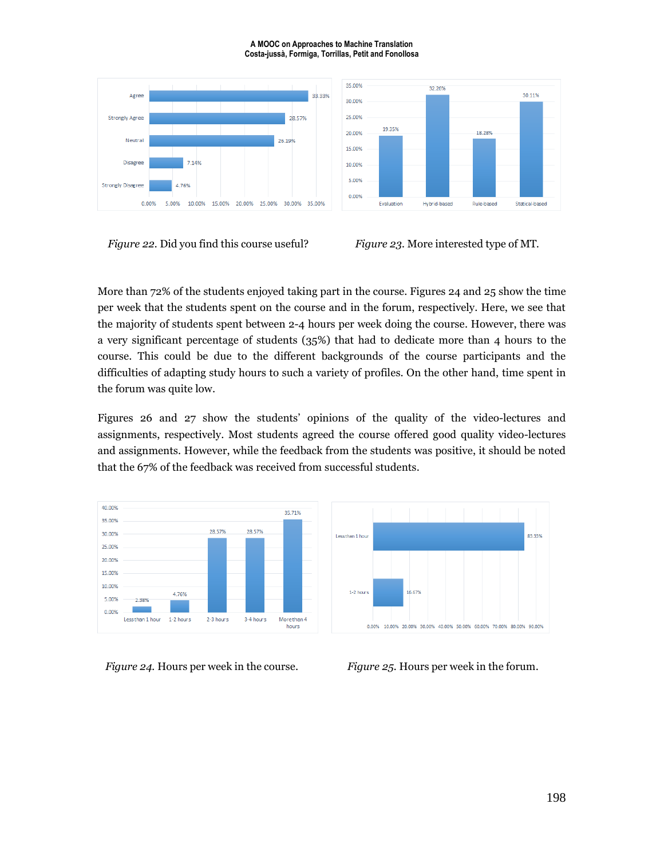![](_page_24_Figure_1.jpeg)

![](_page_24_Figure_2.jpeg)

 *Figure 22.* Did you find this course useful? *Figure 23.* More interested type of MT.

![](_page_24_Figure_4.jpeg)

More than 72% of the students enjoyed taking part in the course. Figures 24 and 25 show the time per week that the students spent on the course and in the forum, respectively. Here, we see that the majority of students spent between 2-4 hours per week doing the course. However, there was a very significant percentage of students (35%) that had to dedicate more than 4 hours to the course. This could be due to the different backgrounds of the course participants and the difficulties of adapting study hours to such a variety of profiles. On the other hand, time spent in the forum was quite low.

Figures 26 and 27 show the students' opinions of the quality of the video-lectures and assignments, respectively. Most students agreed the course offered good quality video-lectures and assignments. However, while the feedback from the students was positive, it should be noted that the 67% of the feedback was received from successful students.

![](_page_24_Figure_7.jpeg)

![](_page_24_Figure_9.jpeg)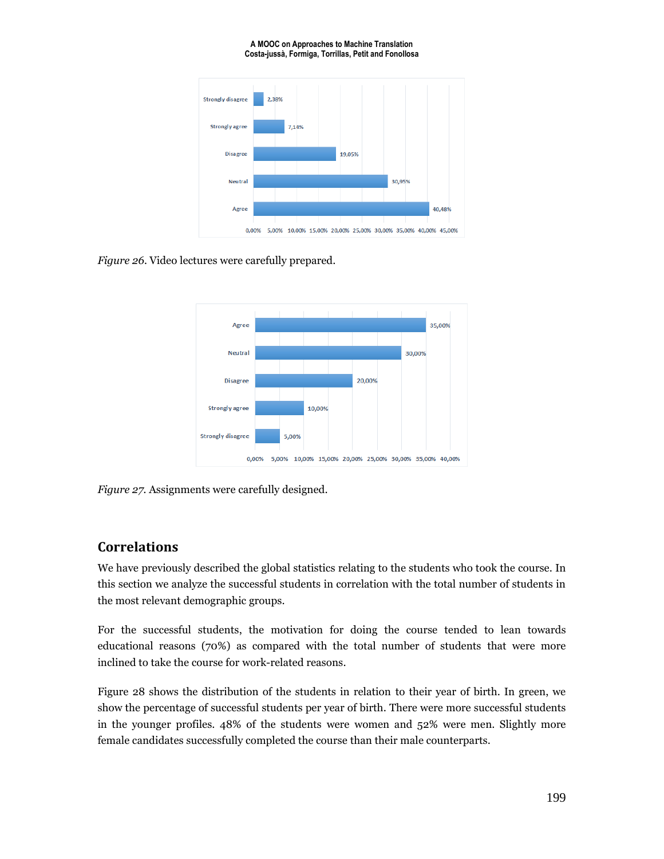![](_page_25_Figure_1.jpeg)

*Figure 26.* Video lectures were carefully prepared.

![](_page_25_Figure_3.jpeg)

*Figure 27.* Assignments were carefully designed.

### **Correlations**

We have previously described the global statistics relating to the students who took the course. In this section we analyze the successful students in correlation with the total number of students in the most relevant demographic groups.

For the successful students, the motivation for doing the course tended to lean towards educational reasons (70%) as compared with the total number of students that were more inclined to take the course for work-related reasons.

Figure 28 shows the distribution of the students in relation to their year of birth. In green, we show the percentage of successful students per year of birth. There were more successful students in the younger profiles. 48% of the students were women and 52% were men. Slightly more female candidates successfully completed the course than their male counterparts.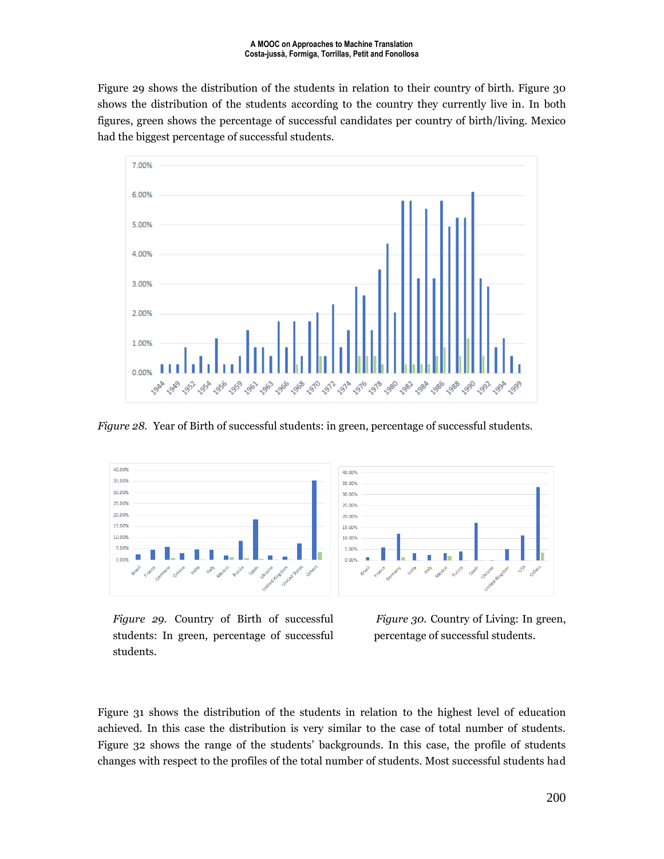Figure 29 shows the distribution of the students in relation to their country of birth. Figure 30 shows the distribution of the students according to the country they currently live in. In both figures, green shows the percentage of successful candidates per country of birth/living. Mexico had the biggest percentage of successful students.

![](_page_26_Figure_2.jpeg)

*Figure 28.* Year of Birth of successful students: in green, percentage of successful students.

![](_page_26_Figure_4.jpeg)

*Figure 29.* Country of Birth of successful students: In green, percentage of successful students.

 *Figure 30.* Country of Living: In green, percentage of successful students.

Figure 31 shows the distribution of the students in relation to the highest level of education achieved. In this case the distribution is very similar to the case of total number of students. Figure 32 shows the range of the students' backgrounds. In this case, the profile of students changes with respect to the profiles of the total number of students. Most successful students had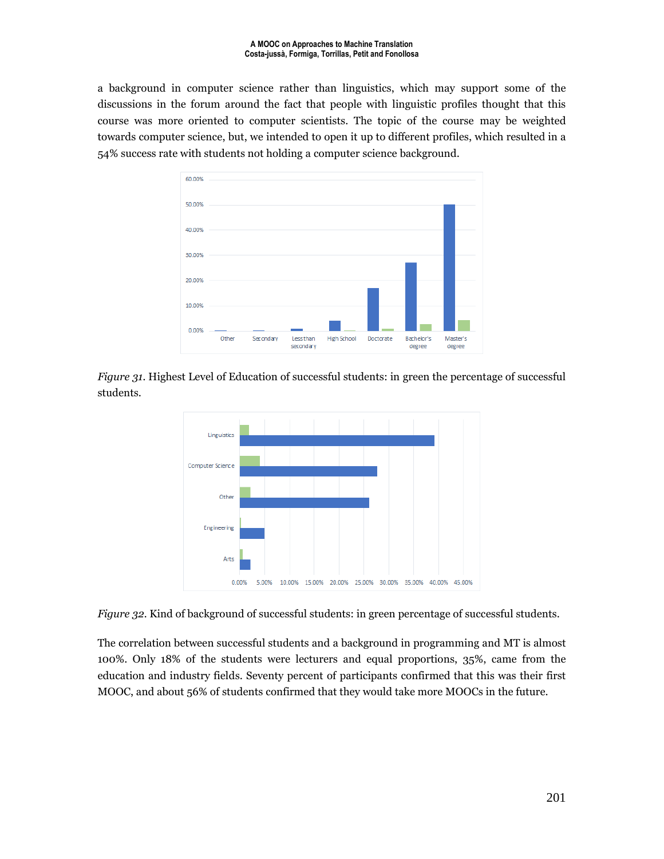a background in computer science rather than linguistics, which may support some of the discussions in the forum around the fact that people with linguistic profiles thought that this course was more oriented to computer scientists. The topic of the course may be weighted towards computer science, but, we intended to open it up to different profiles, which resulted in a 54% success rate with students not holding a computer science background.

![](_page_27_Figure_2.jpeg)

*Figure 31.* Highest Level of Education of successful students: in green the percentage of successful students.

![](_page_27_Figure_4.jpeg)

*Figure 32.* Kind of background of successful students: in green percentage of successful students.

The correlation between successful students and a background in programming and MT is almost 100%. Only 18% of the students were lecturers and equal proportions, 35%, came from the education and industry fields. Seventy percent of participants confirmed that this was their first MOOC, and about 56% of students confirmed that they would take more MOOCs in the future.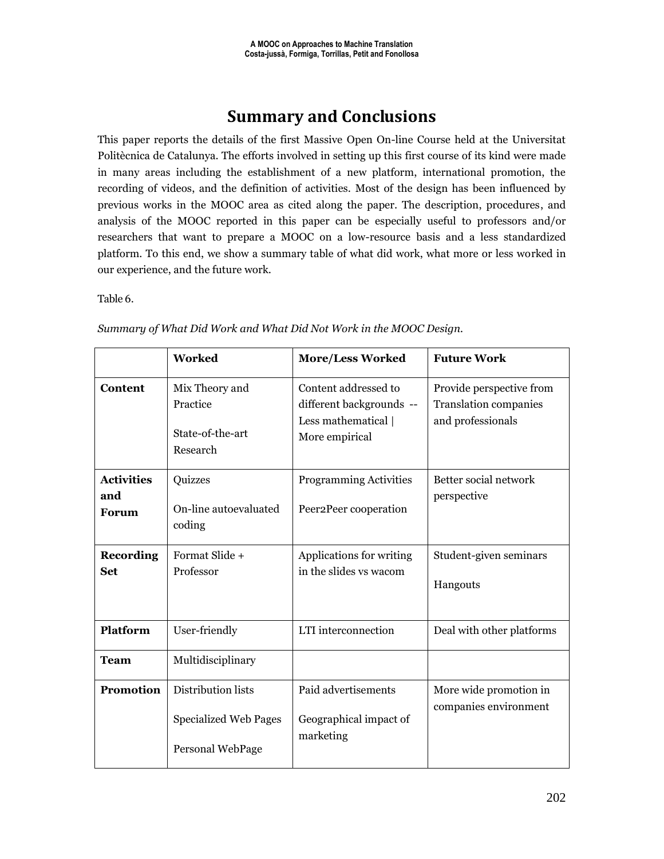## **Summary and Conclusions**

This paper reports the details of the first Massive Open On-line Course held at the Universitat Politècnica de Catalunya. The efforts involved in setting up this first course of its kind were made in many areas including the establishment of a new platform, international promotion, the recording of videos, and the definition of activities. Most of the design has been influenced by previous works in the MOOC area as cited along the paper. The description, procedures, and analysis of the MOOC reported in this paper can be especially useful to professors and/or researchers that want to prepare a MOOC on a low-resource basis and a less standardized platform. To this end, we show a summary table of what did work, what more or less worked in our experience, and the future work.

Table 6.

|                                   | Worked                                                                 | <b>More/Less Worked</b>                                                                   | <b>Future Work</b>                                                            |
|-----------------------------------|------------------------------------------------------------------------|-------------------------------------------------------------------------------------------|-------------------------------------------------------------------------------|
| Content                           | Mix Theory and<br>Practice<br>State-of-the-art<br>Research             | Content addressed to<br>different backgrounds --<br>Less mathematical  <br>More empirical | Provide perspective from<br><b>Translation companies</b><br>and professionals |
| <b>Activities</b><br>and<br>Forum | Quizzes<br>On-line autoevaluated<br>coding                             | <b>Programming Activities</b><br>Peer2Peer cooperation                                    | Better social network<br>perspective                                          |
| <b>Recording</b><br><b>Set</b>    | Format Slide +<br>Professor                                            | Applications for writing<br>in the slides vs wacom                                        | Student-given seminars<br>Hangouts                                            |
| <b>Platform</b>                   | User-friendly                                                          | LTI interconnection                                                                       | Deal with other platforms                                                     |
| <b>Team</b>                       | Multidisciplinary                                                      |                                                                                           |                                                                               |
| <b>Promotion</b>                  | Distribution lists<br><b>Specialized Web Pages</b><br>Personal WebPage | Paid advertisements<br>Geographical impact of<br>marketing                                | More wide promotion in<br>companies environment                               |

*Summary of What Did Work and What Did Not Work in the MOOC Design.*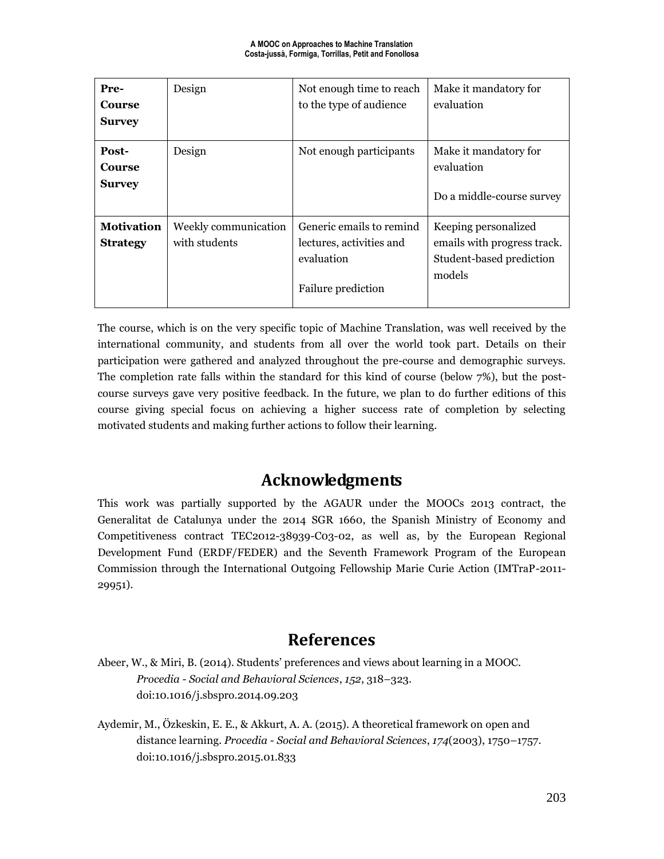| Pre-<br><b>Course</b><br><b>Survey</b>  | Design                                | Not enough time to reach<br>to the type of audience                                             | Make it mandatory for<br>evaluation                                                       |
|-----------------------------------------|---------------------------------------|-------------------------------------------------------------------------------------------------|-------------------------------------------------------------------------------------------|
| Post-<br><b>Course</b><br><b>Survey</b> | Design                                | Not enough participants                                                                         | Make it mandatory for<br>evaluation<br>Do a middle-course survey                          |
| <b>Motivation</b><br><b>Strategy</b>    | Weekly communication<br>with students | Generic emails to remind<br>lectures, activities and<br>evaluation<br><b>Failure prediction</b> | Keeping personalized<br>emails with progress track.<br>Student-based prediction<br>models |

The course, which is on the very specific topic of Machine Translation, was well received by the international community, and students from all over the world took part. Details on their participation were gathered and analyzed throughout the pre-course and demographic surveys. The completion rate falls within the standard for this kind of course (below 7%), but the postcourse surveys gave very positive feedback. In the future, we plan to do further editions of this course giving special focus on achieving a higher success rate of completion by selecting motivated students and making further actions to follow their learning.

## **Acknowledgments**

This work was partially supported by the AGAUR under the MOOCs 2013 contract, the Generalitat de Catalunya under the 2014 SGR 1660, the Spanish Ministry of Economy and Competitiveness contract TEC2012-38939-C03-02, as well as, by the European Regional Development Fund (ERDF/FEDER) and the Seventh Framework Program of the European Commission through the International Outgoing Fellowship Marie Curie Action (IMTraP-2011- 29951).

## **References**

- Abeer, W., & Miri, B. (2014). Students' preferences and views about learning in a MOOC. *Procedia - Social and Behavioral Sciences*, *152*, 318–323. doi:10.1016/j.sbspro.2014.09.203
- Aydemir, M., Özkeskin, E. E., & Akkurt, A. A. (2015). A theoretical framework on open and distance learning. *Procedia - Social and Behavioral Sciences*, *174*(2003), 1750–1757. doi:10.1016/j.sbspro.2015.01.833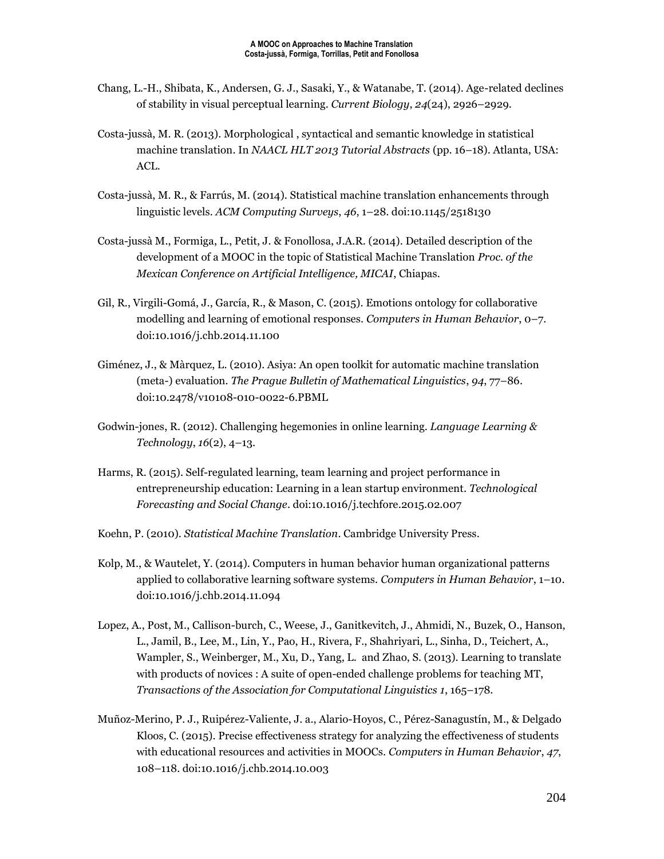- Chang, L.-H., Shibata, K., Andersen, G. J., Sasaki, Y., & Watanabe, T. (2014). Age-related declines of stability in visual perceptual learning. *Current Biology*, *24*(24), 2926–2929.
- Costa-jussà, M. R. (2013). Morphological , syntactical and semantic knowledge in statistical machine translation. In *NAACL HLT 2013 Tutorial Abstracts* (pp. 16–18). Atlanta, USA: ACL.
- Costa-jussà, M. R., & Farrús, M. (2014). Statistical machine translation enhancements through linguistic levels. *ACM Computing Surveys*, *46*, 1–28. doi:10.1145/2518130
- Costa-jussà M., Formiga, L., Petit, J. & Fonollosa, J.A.R. (2014). Detailed description of the development of a MOOC in the topic of Statistical Machine Translation *Proc. of the Mexican Conference on Artificial Intelligence, MICAI*, Chiapas.
- Gil, R., Virgili-Gomá, J., García, R., & Mason, C. (2015). Emotions ontology for collaborative modelling and learning of emotional responses. *Computers in Human Behavior*, 0–7. doi:10.1016/j.chb.2014.11.100
- Giménez, J., & Màrquez, L. (2010). Asiya: An open toolkit for automatic machine translation (meta-) evaluation. *The Prague Bulletin of Mathematical Linguistics*, *94*, 77–86. doi:10.2478/v10108-010-0022-6.PBML
- Godwin-jones, R. (2012). Challenging hegemonies in online learning. *Language Learning & Technology*, *16*(2), 4–13.
- Harms, R. (2015). Self-regulated learning, team learning and project performance in entrepreneurship education: Learning in a lean startup environment. *Technological Forecasting and Social Change*. doi:10.1016/j.techfore.2015.02.007
- Koehn, P. (2010). *Statistical Machine Translation*. Cambridge University Press.
- Kolp, M., & Wautelet, Y. (2014). Computers in human behavior human organizational patterns applied to collaborative learning software systems. *Computers in Human Behavior*, 1–10. doi:10.1016/j.chb.2014.11.094
- Lopez, A., Post, M., Callison-burch, C., Weese, J., Ganitkevitch, J., Ahmidi, N., Buzek, O., Hanson, L., Jamil, B., Lee, M., Lin, Y., Pao, H., Rivera, F., Shahriyari, L., Sinha, D., Teichert, A., Wampler, S., Weinberger, M., Xu, D., Yang, L. and Zhao, S. (2013). Learning to translate with products of novices : A suite of open-ended challenge problems for teaching MT, *Transactions of the Association for Computational Linguistics 1*, 165–178.
- Muñoz-Merino, P. J., Ruipérez-Valiente, J. a., Alario-Hoyos, C., Pérez-Sanagustín, M., & Delgado Kloos, C. (2015). Precise effectiveness strategy for analyzing the effectiveness of students with educational resources and activities in MOOCs. *Computers in Human Behavior*, *47*, 108–118. doi:10.1016/j.chb.2014.10.003